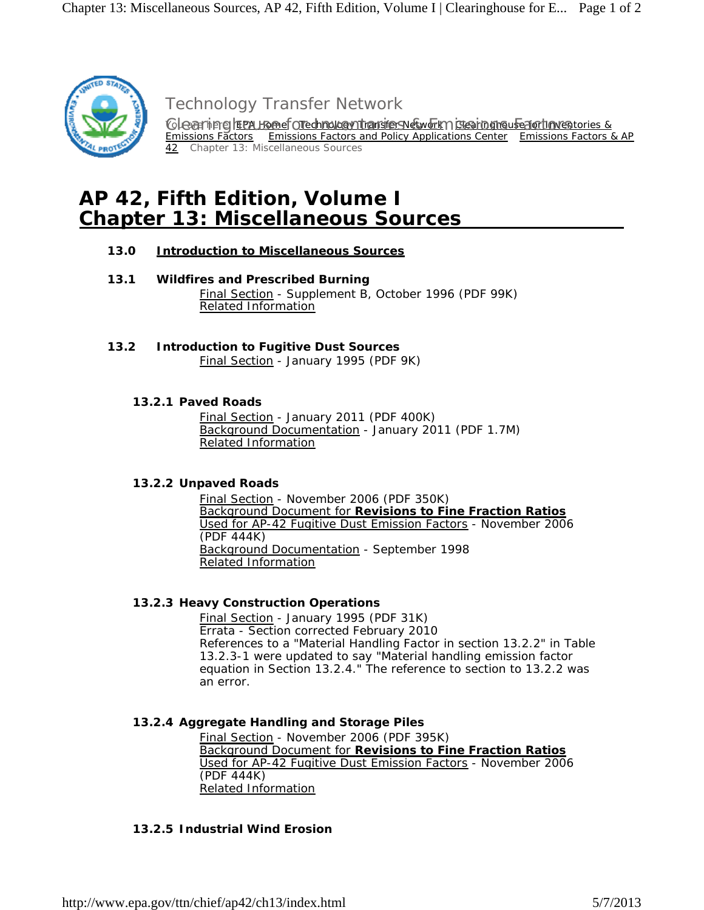

Technology Transfer Network

Clearing freu Homef Orechnology Thansfers Network Clearinghouse for Inventories & Emissions Factors Emissions Factors and Policy Applications Center Emissions Factors & AP 42 Chapter 13: Miscellaneous Sources

# **AP 42, Fifth Edition, Volume I Chapter 13: Miscellaneous Sources**

# **13.0 Introduction to Miscellaneous Sources**

- **13.1 Wildfires and Prescribed Burning** Final Section - Supplement B, October 1996 (PDF 99K) Related Information
- **13.2 Introduction to Fugitive Dust Sources**

Final Section - January 1995 (PDF 9K)

# **13.2.1 Paved Roads**

 Final Section - January 2011 (PDF 400K) Background Documentation - January 2011 (PDF 1.7M) Related Information

# **13.2.2 Unpaved Roads**

 Final Section - November 2006 (PDF 350K) Background Document for **Revisions to Fine Fraction Ratios** Used for AP-42 Fugitive Dust Emission Factors - November 2006 (PDF 444K) Background Documentation - September 1998 Related Information

# **13.2.3 Heavy Construction Operations**

 Final Section - January 1995 (PDF 31K) Errata - Section corrected February 2010 References to a "Material Handling Factor in section 13.2.2" in Table 13.2.3-1 were updated to say "Material handling emission factor equation in Section 13.2.4." The reference to section to 13.2.2 was an error.

# **13.2.4 Aggregate Handling and Storage Piles**

 Final Section - November 2006 (PDF 395K) Background Document for **Revisions to Fine Fraction Ratios** Used for AP-42 Fugitive Dust Emission Factors - November 2006 (PDF 444K) Related Information

# **13.2.5 Industrial Wind Erosion**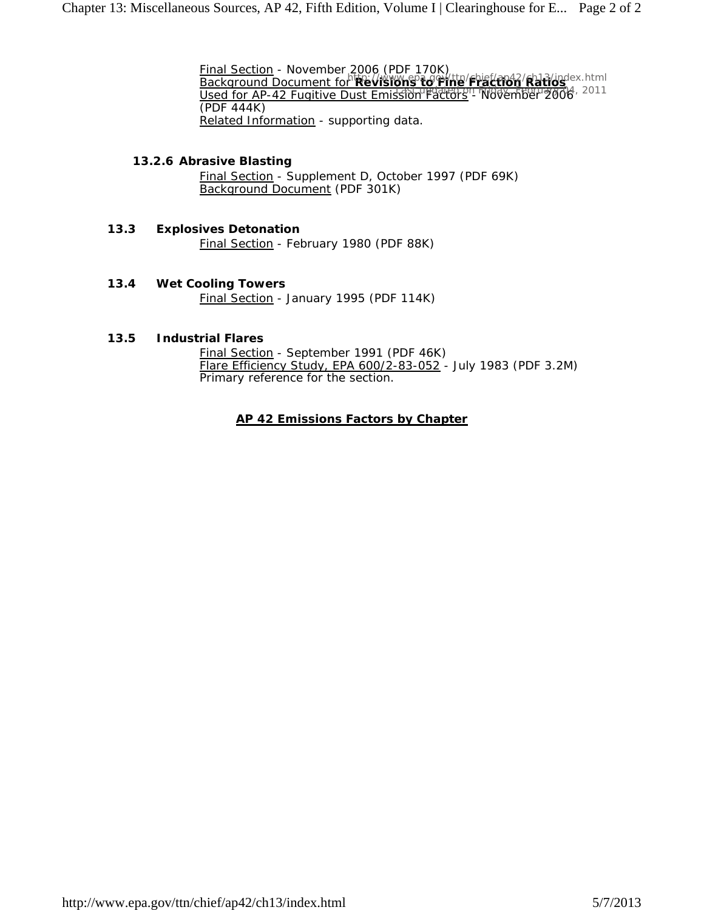Final Section - November 2006 (PDF 170K) **Background Document for Revisions to Fine Fraction Ratios Used for AP-42 Fugitive Dust Emission Factors - November 2006**, 2011 (PDF 444K) Related Information - supporting data.

#### **13.2.6 Abrasive Blasting**

 Final Section - Supplement D, October 1997 (PDF 69K) Background Document (PDF 301K)

- **13.3 Explosives Detonation** Final Section - February 1980 (PDF 88K)
- **13.4 Wet Cooling Towers** Final Section - January 1995 (PDF 114K)

#### **13.5 Industrial Flares**

 Final Section - September 1991 (PDF 46K) Flare Efficiency Study, EPA 600/2-83-052 - July 1983 (PDF 3.2M) Primary reference for the section.

#### **AP 42 Emissions Factors by Chapter**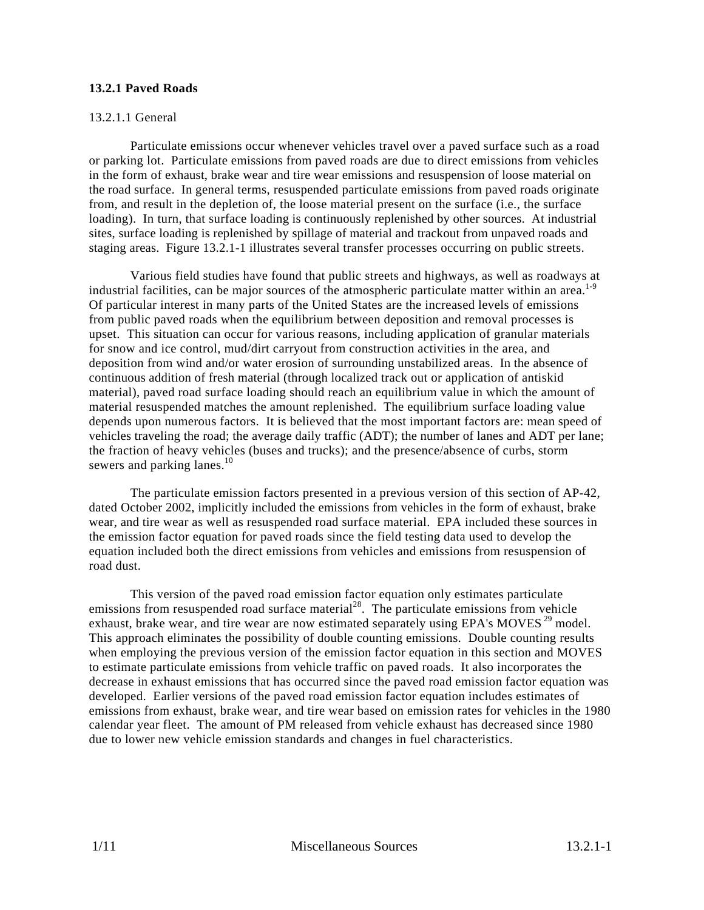# **13.2.1 Paved Roads**

# 13.2.1.1 General

Particulate emissions occur whenever vehicles travel over a paved surface such as a road or parking lot. Particulate emissions from paved roads are due to direct emissions from vehicles in the form of exhaust, brake wear and tire wear emissions and resuspension of loose material on the road surface. In general terms, resuspended particulate emissions from paved roads originate from, and result in the depletion of, the loose material present on the surface (i.e., the surface loading). In turn, that surface loading is continuously replenished by other sources. At industrial sites, surface loading is replenished by spillage of material and trackout from unpaved roads and staging areas. Figure 13.2.1-1 illustrates several transfer processes occurring on public streets.

Various field studies have found that public streets and highways, as well as roadways at industrial facilities, can be major sources of the atmospheric particulate matter within an area. $1-9$ Of particular interest in many parts of the United States are the increased levels of emissions from public paved roads when the equilibrium between deposition and removal processes is upset. This situation can occur for various reasons, including application of granular materials for snow and ice control, mud/dirt carryout from construction activities in the area, and deposition from wind and/or water erosion of surrounding unstabilized areas. In the absence of continuous addition of fresh material (through localized track out or application of antiskid material), paved road surface loading should reach an equilibrium value in which the amount of material resuspended matches the amount replenished. The equilibrium surface loading value depends upon numerous factors. It is believed that the most important factors are: mean speed of vehicles traveling the road; the average daily traffic (ADT); the number of lanes and ADT per lane; the fraction of heavy vehicles (buses and trucks); and the presence/absence of curbs, storm sewers and parking lanes. $10$ 

The particulate emission factors presented in a previous version of this section of AP-42, dated October 2002, implicitly included the emissions from vehicles in the form of exhaust, brake wear, and tire wear as well as resuspended road surface material. EPA included these sources in the emission factor equation for paved roads since the field testing data used to develop the equation included both the direct emissions from vehicles and emissions from resuspension of road dust.

This version of the paved road emission factor equation only estimates particulate emissions from resuspended road surface material<sup>28</sup>. The particulate emissions from vehicle exhaust, brake wear, and tire wear are now estimated separately using EPA's MOVES<sup>29</sup> model. This approach eliminates the possibility of double counting emissions. Double counting results when employing the previous version of the emission factor equation in this section and MOVES to estimate particulate emissions from vehicle traffic on paved roads. It also incorporates the decrease in exhaust emissions that has occurred since the paved road emission factor equation was developed. Earlier versions of the paved road emission factor equation includes estimates of emissions from exhaust, brake wear, and tire wear based on emission rates for vehicles in the 1980 calendar year fleet. The amount of PM released from vehicle exhaust has decreased since 1980 due to lower new vehicle emission standards and changes in fuel characteristics.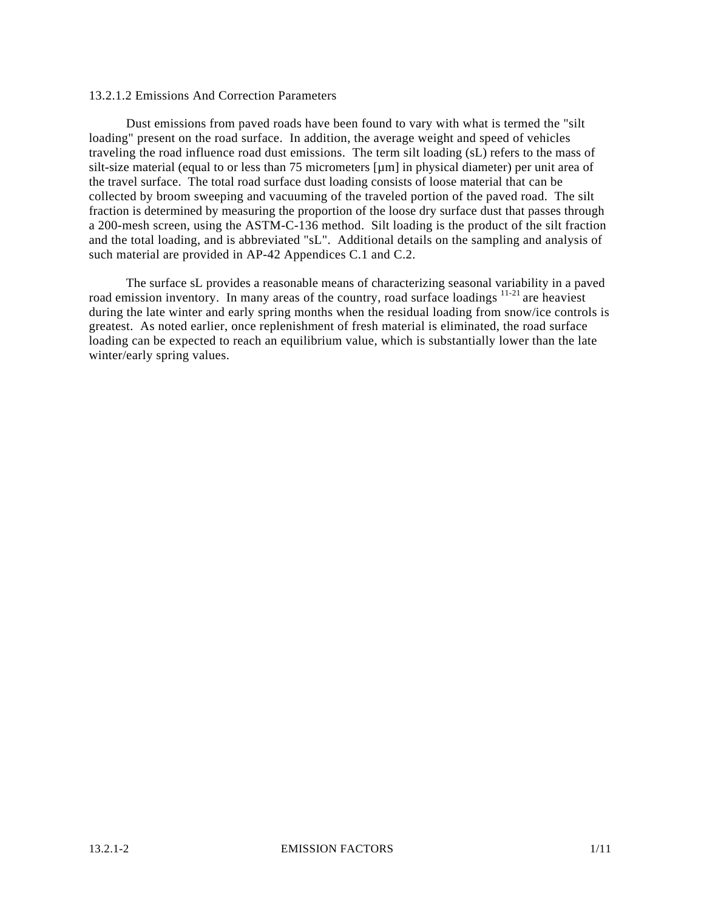#### 13.2.1.2 Emissions And Correction Parameters

Dust emissions from paved roads have been found to vary with what is termed the "silt loading" present on the road surface. In addition, the average weight and speed of vehicles traveling the road influence road dust emissions. The term silt loading (sL) refers to the mass of silt-size material (equal to or less than 75 micrometers [µm] in physical diameter) per unit area of the travel surface. The total road surface dust loading consists of loose material that can be collected by broom sweeping and vacuuming of the traveled portion of the paved road. The silt fraction is determined by measuring the proportion of the loose dry surface dust that passes through a 200-mesh screen, using the ASTM-C-136 method. Silt loading is the product of the silt fraction and the total loading, and is abbreviated "sL". Additional details on the sampling and analysis of such material are provided in AP-42 Appendices C.1 and C.2.

The surface sL provides a reasonable means of characterizing seasonal variability in a paved road emission inventory. In many areas of the country, road surface loadings <sup>11-21</sup> are heaviest during the late winter and early spring months when the residual loading from snow/ice controls is greatest. As noted earlier, once replenishment of fresh material is eliminated, the road surface loading can be expected to reach an equilibrium value, which is substantially lower than the late winter/early spring values.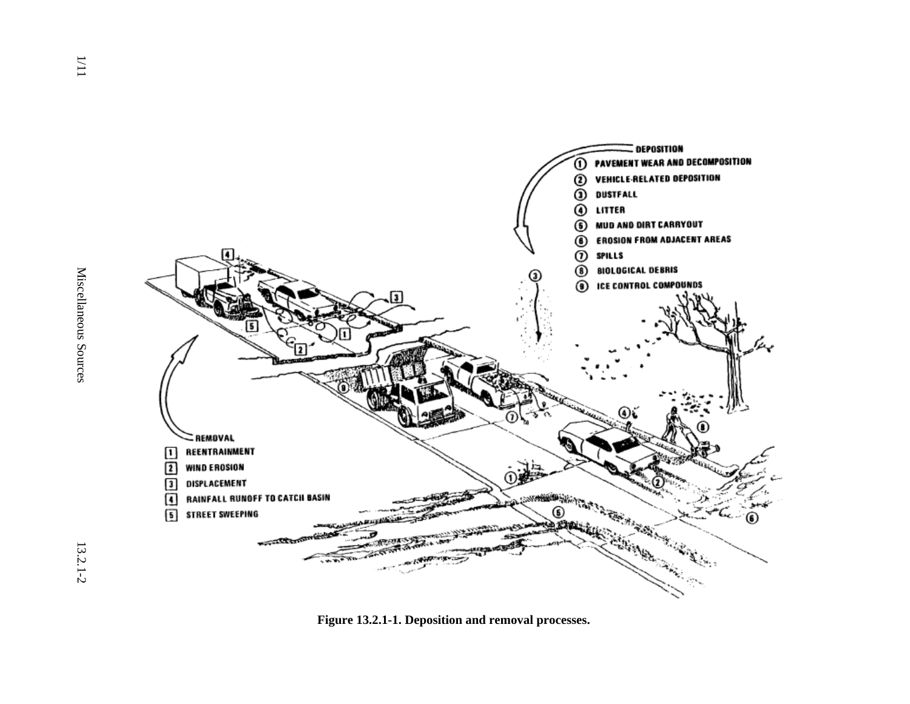

**Figure 13.2.1-1. Deposition and removal processes.**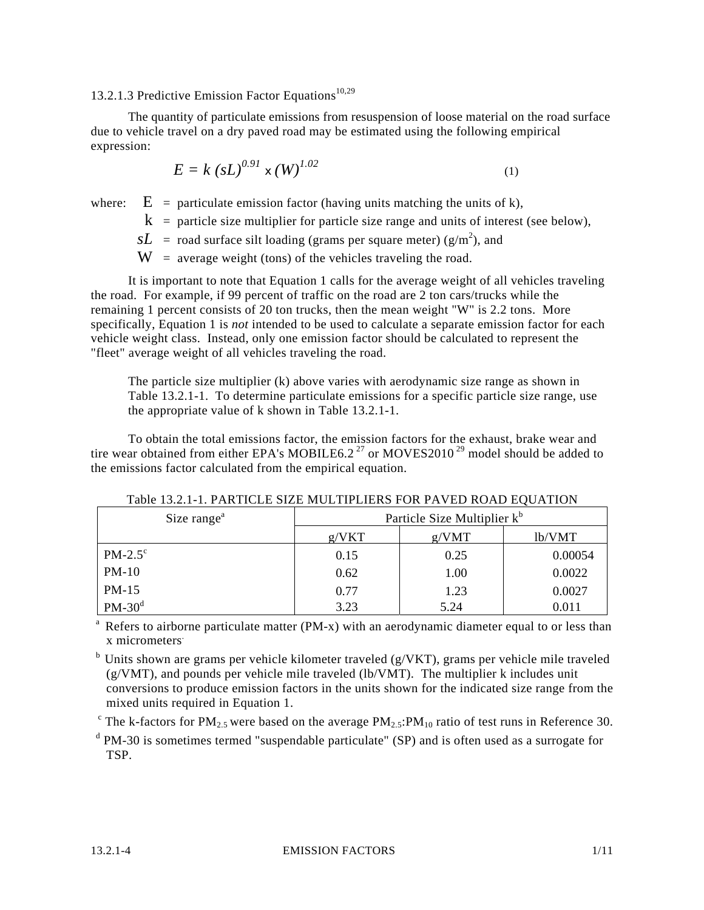# 13.2.1.3 Predictive Emission Factor Equations $10,29$

The quantity of particulate emissions from resuspension of loose material on the road surface due to vehicle travel on a dry paved road may be estimated using the following empirical expression:

$$
E = k (sL)^{0.91} \times (W)^{1.02}
$$
 (1)

where:  $E =$  particulate emission factor (having units matching the units of k),

 $k$  = particle size multiplier for particle size range and units of interest (see below),

 $sL$  = road surface silt loading (grams per square meter) ( $g/m<sup>2</sup>$ ), and

 $W =$  average weight (tons) of the vehicles traveling the road.

It is important to note that Equation 1 calls for the average weight of all vehicles traveling the road. For example, if 99 percent of traffic on the road are 2 ton cars/trucks while the remaining 1 percent consists of 20 ton trucks, then the mean weight "W" is 2.2 tons. More specifically, Equation 1 is *not* intended to be used to calculate a separate emission factor for each vehicle weight class. Instead, only one emission factor should be calculated to represent the "fleet" average weight of all vehicles traveling the road.

The particle size multiplier (k) above varies with aerodynamic size range as shown in Table 13.2.1-1. To determine particulate emissions for a specific particle size range, use the appropriate value of k shown in Table 13.2.1-1.

To obtain the total emissions factor, the emission factors for the exhaust, brake wear and tire wear obtained from either EPA's MOBILE6.2<sup>27</sup> or MOVES2010<sup>29</sup> model should be added to the emissions factor calculated from the empirical equation.

| Size range <sup>a</sup> | Particle Size Multiplier k <sup>b</sup> |       |         |  |  |  |
|-------------------------|-----------------------------------------|-------|---------|--|--|--|
|                         | g/VKT                                   | g/VMT | lb/VMT  |  |  |  |
| $PM-2.5^{\circ}$        | 0.15                                    | 0.25  | 0.00054 |  |  |  |
| $PM-10$                 | 0.62                                    | 1.00  | 0.0022  |  |  |  |
| $PM-15$                 | 0.77                                    | 1.23  | 0.0027  |  |  |  |
| $PM-30^d$               | 3.23                                    | 5.24  | 0.011   |  |  |  |

Table 13.2.1-1. PARTICLE SIZE MULTIPLIERS FOR PAVED ROAD EQUATION

 $a^2$  Refers to airborne particulate matter (PM-x) with an aerodynamic diameter equal to or less than x micrometers.

 $b$  Units shown are grams per vehicle kilometer traveled (g/VKT), grams per vehicle mile traveled (g/VMT), and pounds per vehicle mile traveled (lb/VMT). The multiplier k includes unit conversions to produce emission factors in the units shown for the indicated size range from the mixed units required in Equation 1.

<sup>c</sup> The k-factors for PM<sub>2.5</sub> were based on the average PM<sub>2.5</sub>:PM<sub>10</sub> ratio of test runs in Reference 30.

<sup>d</sup> PM-30 is sometimes termed "suspendable particulate" (SP) and is often used as a surrogate for TSP.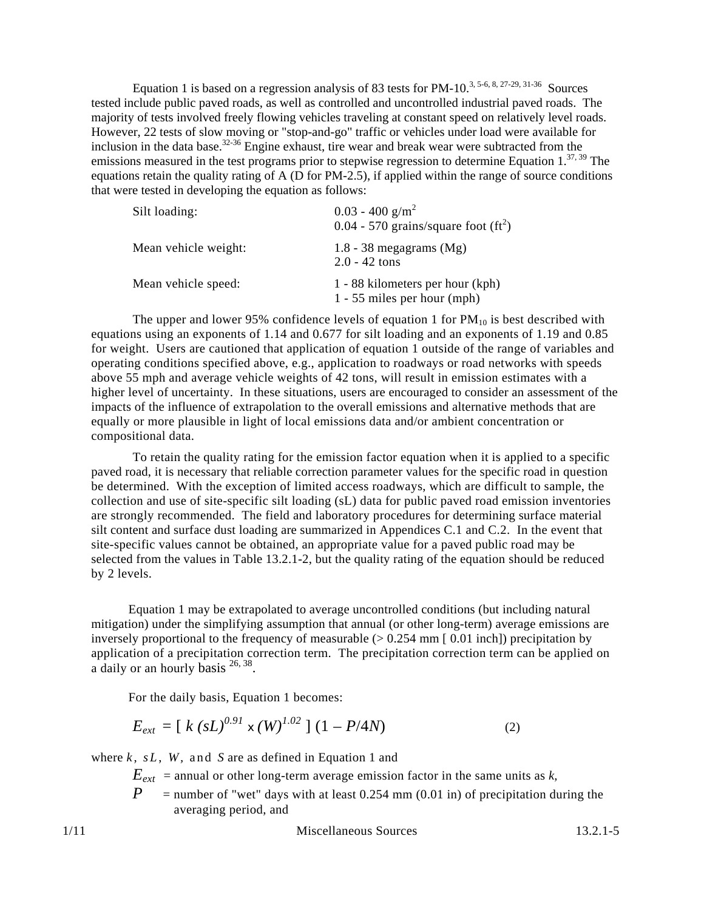Equation 1 is based on a regression analysis of 83 tests for PM-10.<sup>3, 5-6, 8, 27-29, 31-36</sup> Sources tested include public paved roads, as well as controlled and uncontrolled industrial paved roads. The majority of tests involved freely flowing vehicles traveling at constant speed on relatively level roads. However, 22 tests of slow moving or "stop-and-go" traffic or vehicles under load were available for inclusion in the data base.<sup>32-36</sup> Engine exhaust, tire wear and break wear were subtracted from the emissions measured in the test programs prior to stepwise regression to determine Equation 1.<sup>37, 39</sup> The equations retain the quality rating of A (D for PM-2.5), if applied within the range of source conditions that were tested in developing the equation as follows:

| Silt loading:        | $0.03 - 400$ g/m <sup>2</sup><br>$0.04 - 570$ grains/square foot (ft <sup>2</sup> ) |
|----------------------|-------------------------------------------------------------------------------------|
| Mean vehicle weight: | 1.8 - 38 megagrams $(Mg)$<br>$2.0 - 42$ tons                                        |
| Mean vehicle speed:  | 1 - 88 kilometers per hour (kph)<br>$1 - 55$ miles per hour (mph)                   |

The upper and lower 95% confidence levels of equation 1 for  $PM_{10}$  is best described with equations using an exponents of 1.14 and 0.677 for silt loading and an exponents of 1.19 and 0.85 for weight. Users are cautioned that application of equation 1 outside of the range of variables and operating conditions specified above, e.g., application to roadways or road networks with speeds above 55 mph and average vehicle weights of 42 tons, will result in emission estimates with a higher level of uncertainty. In these situations, users are encouraged to consider an assessment of the impacts of the influence of extrapolation to the overall emissions and alternative methods that are equally or more plausible in light of local emissions data and/or ambient concentration or compositional data.

To retain the quality rating for the emission factor equation when it is applied to a specific paved road, it is necessary that reliable correction parameter values for the specific road in question be determined. With the exception of limited access roadways, which are difficult to sample, the collection and use of site-specific silt loading (sL) data for public paved road emission inventories are strongly recommended. The field and laboratory procedures for determining surface material silt content and surface dust loading are summarized in Appendices C.1 and C.2. In the event that site-specific values cannot be obtained, an appropriate value for a paved public road may be selected from the values in Table 13.2.1-2, but the quality rating of the equation should be reduced by 2 levels.

Equation 1 may be extrapolated to average uncontrolled conditions (but including natural mitigation) under the simplifying assumption that annual (or other long-term) average emissions are inversely proportional to the frequency of measurable  $(> 0.254$  mm [0.01 inch]) precipitation by application of a precipitation correction term. The precipitation correction term can be applied on a daily or an hourly basis <sup>26, 38</sup>.

For the daily basis, Equation 1 becomes:

$$
E_{ext} = [k (sL)^{0.91} \times (W)^{1.02}] (1 - P/4N)
$$
 (2)

where  $k$ ,  $sL$ ,  $W$ , and  $S$  are as defined in Equation 1 and

 $E_{ext}$  = annual or other long-term average emission factor in the same units as  $k$ ,

 $P =$  number of "wet" days with at least 0.254 mm (0.01 in) of precipitation during the averaging period, and

1/11 Miscellaneous Sources 13.2.1-5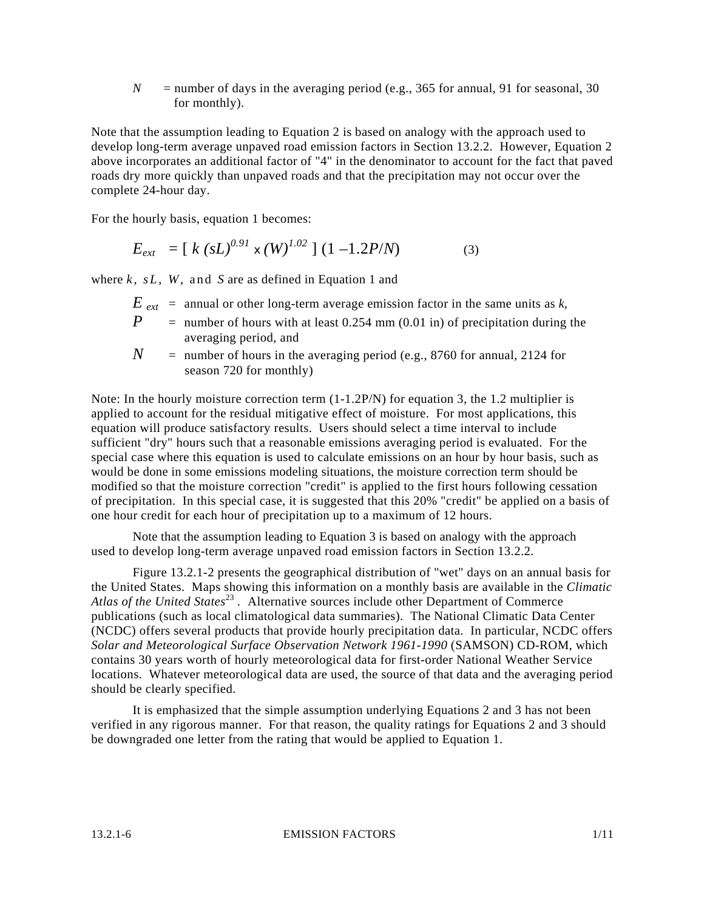$N =$  number of days in the averaging period (e.g., 365 for annual, 91 for seasonal, 30 for monthly).

Note that the assumption leading to Equation 2 is based on analogy with the approach used to develop long-term average unpaved road emission factors in Section 13.2.2. However, Equation 2 above incorporates an additional factor of "4" in the denominator to account for the fact that paved roads dry more quickly than unpaved roads and that the precipitation may not occur over the complete 24-hour day.

For the hourly basis, equation 1 becomes:

$$
E_{ext} = [k (sL)^{0.91} \times (W)^{1.02}] (1 - 1.2P/N)
$$
 (3)

where  $k$ ,  $sL$ ,  $W$ , and  $S$  are as defined in Equation 1 and

- $E_{ext}$  = annual or other long-term average emission factor in the same units as  $k$ ,
- *P* = number of hours with at least 0.254 mm (0.01 in) of precipitation during the averaging period, and
- $N =$  number of hours in the averaging period (e.g., 8760 for annual, 2124 for season 720 for monthly)

Note: In the hourly moisture correction term  $(1-1.2P/N)$  for equation 3, the 1.2 multiplier is applied to account for the residual mitigative effect of moisture. For most applications, this equation will produce satisfactory results. Users should select a time interval to include sufficient "dry" hours such that a reasonable emissions averaging period is evaluated. For the special case where this equation is used to calculate emissions on an hour by hour basis, such as would be done in some emissions modeling situations, the moisture correction term should be modified so that the moisture correction "credit" is applied to the first hours following cessation of precipitation. In this special case, it is suggested that this 20% "credit" be applied on a basis of one hour credit for each hour of precipitation up to a maximum of 12 hours.

Note that the assumption leading to Equation 3 is based on analogy with the approach used to develop long-term average unpaved road emission factors in Section 13.2.2.

Figure 13.2.1-2 presents the geographical distribution of "wet" days on an annual basis for the United States. Maps showing this information on a monthly basis are available in the *Climatic Atlas of the United States*<sup>23</sup> *.* Alternative sources include other Department of Commerce publications (such as local climatological data summaries). The National Climatic Data Center (NCDC) offers several products that provide hourly precipitation data. In particular, NCDC offers *Solar and Meteorological Surface Observation Network 1961-1990* (SAMSON) CD-ROM, which contains 30 years worth of hourly meteorological data for first-order National Weather Service locations. Whatever meteorological data are used, the source of that data and the averaging period should be clearly specified.

It is emphasized that the simple assumption underlying Equations 2 and 3 has not been verified in any rigorous manner. For that reason, the quality ratings for Equations 2 and 3 should be downgraded one letter from the rating that would be applied to Equation 1.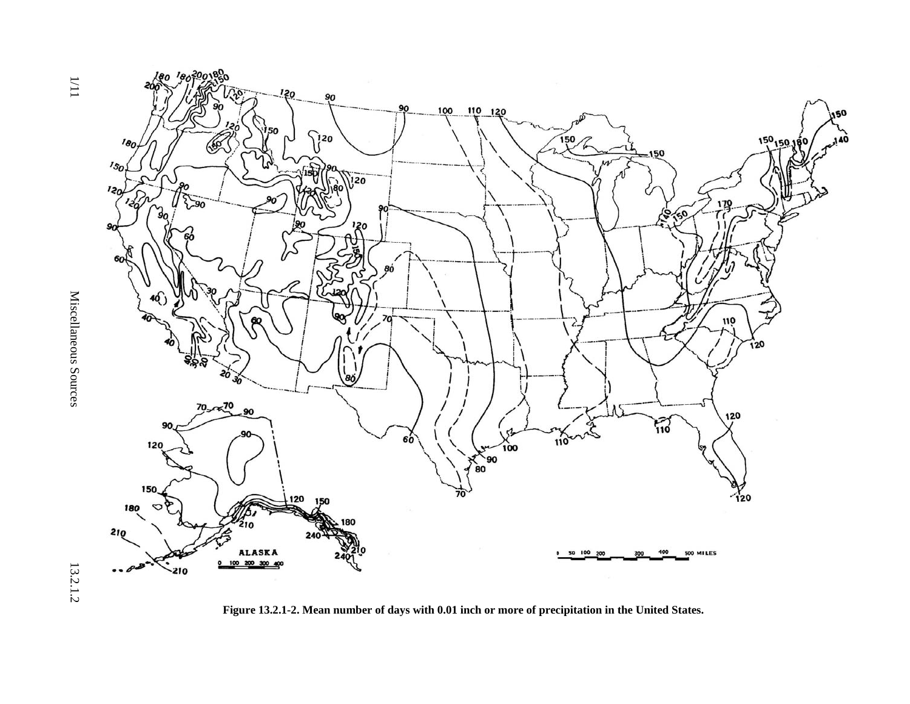

**Figure 13.2.1-2. Mean number of days with 0.01 inch or more of precipitation in the United States.** 

 $\frac{1}{1}$ 

 $1/11$  Miscellaneous Sources 13.2.1.2 Miscellaneous Sources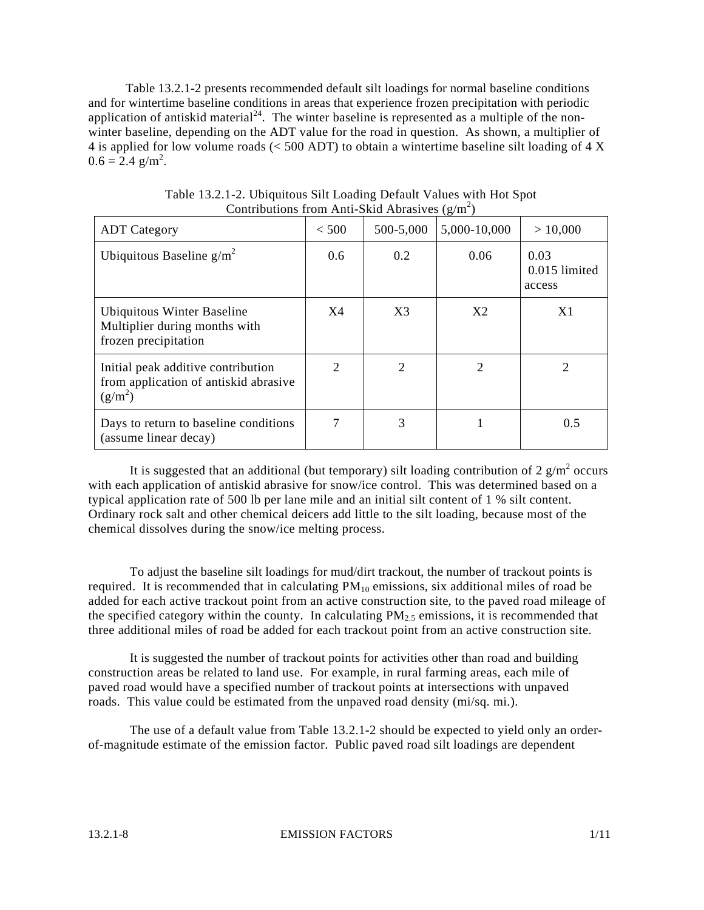Table 13.2.1-2 presents recommended default silt loadings for normal baseline conditions and for wintertime baseline conditions in areas that experience frozen precipitation with periodic application of antiskid material<sup>24</sup>. The winter baseline is represented as a multiple of the nonwinter baseline, depending on the ADT value for the road in question. As shown, a multiplier of 4 is applied for low volume roads (< 500 ADT) to obtain a wintertime baseline silt loading of 4 X  $0.6 = 2.4$  g/m<sup>2</sup>.

| <b>ADT</b> Category                                                                      | $<$ 500                     | 500-5,000      | 5,000-10,000 | > 10,000                        |
|------------------------------------------------------------------------------------------|-----------------------------|----------------|--------------|---------------------------------|
| Ubiquitous Baseline $g/m^2$                                                              | $0.6^{\circ}$               | 0.2            | 0.06         | 0.03<br>0.015 limited<br>access |
| Ubiquitous Winter Baseline<br>Multiplier during months with<br>frozen precipitation      | X4                          | X <sub>3</sub> | X2           | X1                              |
| Initial peak additive contribution<br>from application of antiskid abrasive<br>$(g/m^2)$ | $\mathcal{D}_{\mathcal{L}}$ | 2              | 2            | $\mathcal{D}_{\mathcal{A}}$     |
| Days to return to baseline conditions<br>(assume linear decay)                           |                             | 3              |              | 0.5                             |

Table 13.2.1-2. Ubiquitous Silt Loading Default Values with Hot Spot Contributions from Anti-Skid Abrasives  $(g/m^2)$ 

It is suggested that an additional (but temporary) silt loading contribution of 2  $g/m^2$  occurs with each application of antiskid abrasive for snow/ice control. This was determined based on a typical application rate of 500 lb per lane mile and an initial silt content of 1 % silt content. Ordinary rock salt and other chemical deicers add little to the silt loading, because most of the chemical dissolves during the snow/ice melting process.

To adjust the baseline silt loadings for mud/dirt trackout, the number of trackout points is required. It is recommended that in calculating  $PM_{10}$  emissions, six additional miles of road be added for each active trackout point from an active construction site, to the paved road mileage of the specified category within the county. In calculating  $PM<sub>2.5</sub>$  emissions, it is recommended that three additional miles of road be added for each trackout point from an active construction site.

It is suggested the number of trackout points for activities other than road and building construction areas be related to land use. For example, in rural farming areas, each mile of paved road would have a specified number of trackout points at intersections with unpaved roads. This value could be estimated from the unpaved road density (mi/sq. mi.).

The use of a default value from Table 13.2.1-2 should be expected to yield only an orderof-magnitude estimate of the emission factor. Public paved road silt loadings are dependent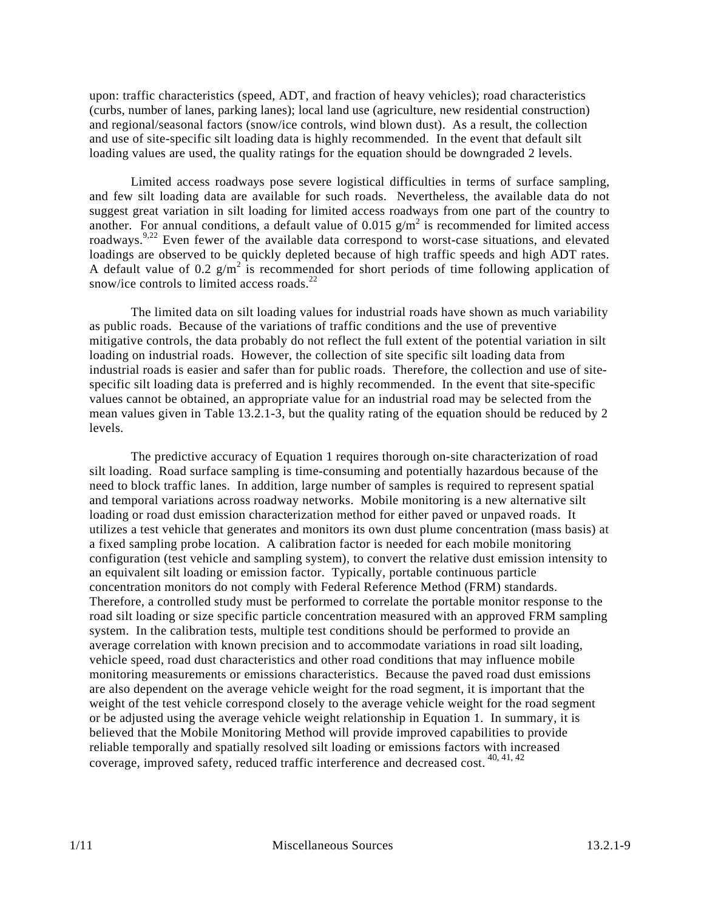upon: traffic characteristics (speed, ADT, and fraction of heavy vehicles); road characteristics (curbs, number of lanes, parking lanes); local land use (agriculture, new residential construction) and regional/seasonal factors (snow/ice controls, wind blown dust). As a result, the collection and use of site-specific silt loading data is highly recommended. In the event that default silt loading values are used, the quality ratings for the equation should be downgraded 2 levels.

Limited access roadways pose severe logistical difficulties in terms of surface sampling, and few silt loading data are available for such roads. Nevertheless, the available data do not suggest great variation in silt loading for limited access roadways from one part of the country to another. For annual conditions, a default value of  $0.015$  g/m<sup>2</sup> is recommended for limited access roadways.<sup>9,22</sup> Even fewer of the available data correspond to worst-case situations, and elevated loadings are observed to be quickly depleted because of high traffic speeds and high ADT rates. A default value of 0.2  $g/m^2$  is recommended for short periods of time following application of snow/ice controls to limited access roads. $^{22}$ 

The limited data on silt loading values for industrial roads have shown as much variability as public roads. Because of the variations of traffic conditions and the use of preventive mitigative controls, the data probably do not reflect the full extent of the potential variation in silt loading on industrial roads. However, the collection of site specific silt loading data from industrial roads is easier and safer than for public roads. Therefore, the collection and use of sitespecific silt loading data is preferred and is highly recommended. In the event that site-specific values cannot be obtained, an appropriate value for an industrial road may be selected from the mean values given in Table 13.2.1-3, but the quality rating of the equation should be reduced by 2 levels.

The predictive accuracy of Equation 1 requires thorough on-site characterization of road silt loading. Road surface sampling is time-consuming and potentially hazardous because of the need to block traffic lanes. In addition, large number of samples is required to represent spatial and temporal variations across roadway networks. Mobile monitoring is a new alternative silt loading or road dust emission characterization method for either paved or unpaved roads. It utilizes a test vehicle that generates and monitors its own dust plume concentration (mass basis) at a fixed sampling probe location. A calibration factor is needed for each mobile monitoring configuration (test vehicle and sampling system), to convert the relative dust emission intensity to an equivalent silt loading or emission factor. Typically, portable continuous particle concentration monitors do not comply with Federal Reference Method (FRM) standards. Therefore, a controlled study must be performed to correlate the portable monitor response to the road silt loading or size specific particle concentration measured with an approved FRM sampling system. In the calibration tests, multiple test conditions should be performed to provide an average correlation with known precision and to accommodate variations in road silt loading, vehicle speed, road dust characteristics and other road conditions that may influence mobile monitoring measurements or emissions characteristics. Because the paved road dust emissions are also dependent on the average vehicle weight for the road segment, it is important that the weight of the test vehicle correspond closely to the average vehicle weight for the road segment or be adjusted using the average vehicle weight relationship in Equation 1. In summary, it is believed that the Mobile Monitoring Method will provide improved capabilities to provide reliable temporally and spatially resolved silt loading or emissions factors with increased coverage, improved safety, reduced traffic interference and decreased cost. 40, 41, 42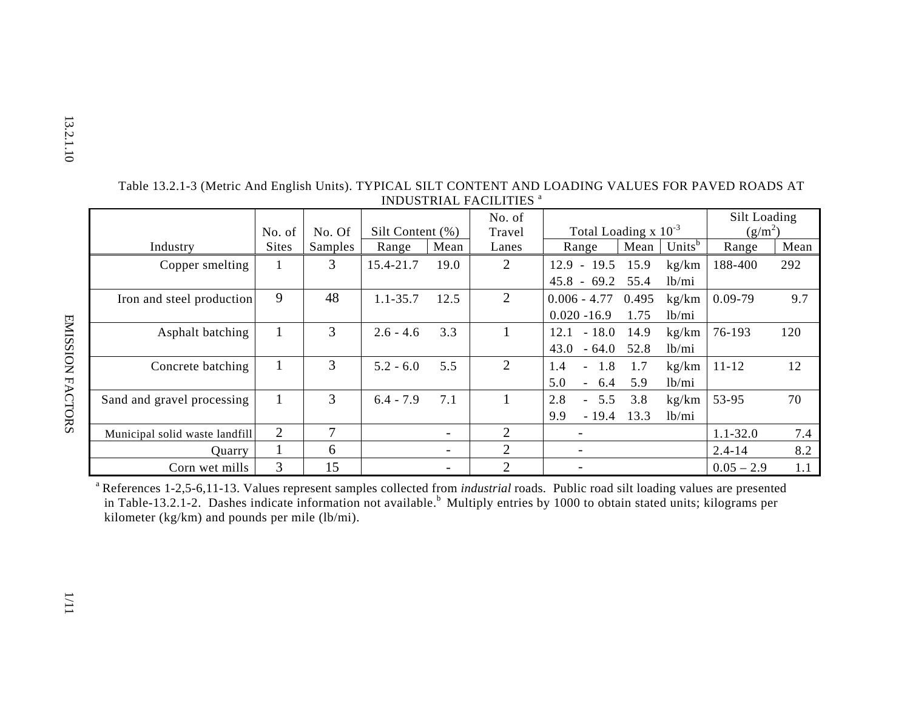| l,<br>۲ |
|---------|
|         |
| ¢       |
|         |
|         |
|         |
|         |
| د<br>г  |

|                                |              |         |                  |                          | No. of         |                           |       |                    | Silt Loading |      |
|--------------------------------|--------------|---------|------------------|--------------------------|----------------|---------------------------|-------|--------------------|--------------|------|
|                                | No. of       | No. Of  | Silt Content (%) |                          | Travel         | Total Loading $x 10^{-3}$ |       | $(g/m^2)$          |              |      |
| Industry                       | <b>Sites</b> | Samples | Range            | Mean                     | Lanes          | Range                     | Mean  | Units <sup>b</sup> | Range        | Mean |
| Copper smelting                |              | 3       | 15.4-21.7        | 19.0                     | 2              | $-19.5$<br>12.9           | 15.9  | kg/km              | 188-400      | 292  |
|                                |              |         |                  |                          |                | $45.8 -$<br>69.2          | 55.4  | 1b/min             |              |      |
| Iron and steel production      | 9            | 48      | $1.1 - 35.7$     | 12.5                     | 2              | $0.006 - 4.77$            | 0.495 | kg/km              | $0.09 - 79$  | 9.7  |
|                                |              |         |                  |                          |                | $0.020 - 16.9$            | 1.75  | 1b/min             |              |      |
| Asphalt batching               |              | 3       | $2.6 - 4.6$      | 3.3                      |                | $-18.0$<br>12.1           | 14.9  | kg/km              | 76-193       | 120  |
|                                |              |         |                  |                          |                | 43.0<br>$-64.0$           | 52.8  | 1b/min             |              |      |
| Concrete batching              |              | 3       | $5.2 - 6.0$      | 5.5                      | 2              | 1.8<br>1.4<br>$\sim$      | 1.7   | kg/km              | $11 - 12$    | 12   |
|                                |              |         |                  |                          |                | 5.0<br>6.4                | 5.9   | 1b/min             |              |      |
| Sand and gravel processing     |              | 3       | $6.4 - 7.9$      | 7.1                      |                | 2.8<br>$-5.5$             | 3.8   | kg/km              | 53-95        | 70   |
|                                |              |         |                  |                          |                | 9.9<br>$-19.4$            | 13.3  | 1b/min             |              |      |
| Municipal solid waste landfill | 2            | 7       |                  |                          | 2              |                           |       |                    | $1.1 - 32.0$ | 7.4  |
| <b>Ouarry</b>                  |              | 6       |                  | $\overline{\phantom{0}}$ | 2              | $\overline{\phantom{a}}$  |       |                    | $2.4 - 14$   | 8.2  |
| Corn wet mills                 | 3            | 15      |                  |                          | $\overline{2}$ |                           |       |                    | $0.05 - 2.9$ | 1.1  |

Table 13.2.1-3 (Metric And English Units). TYPICAL SILT CONTENT AND LOADING VALUES FOR PAVED ROADS AT INDUSTRIAL FACILITIES <sup>a</sup>

a References 1-2,5-6,11-13. Values represent samples collected from *industrial* roads. Public road silt loading values are presented in Table-13.2.1-2. Dashes indicate information not available.<sup>b</sup> Multiply entries by 1000 to obtain stated units; kilograms per kilometer (kg/km) and pounds per mile (lb/mi).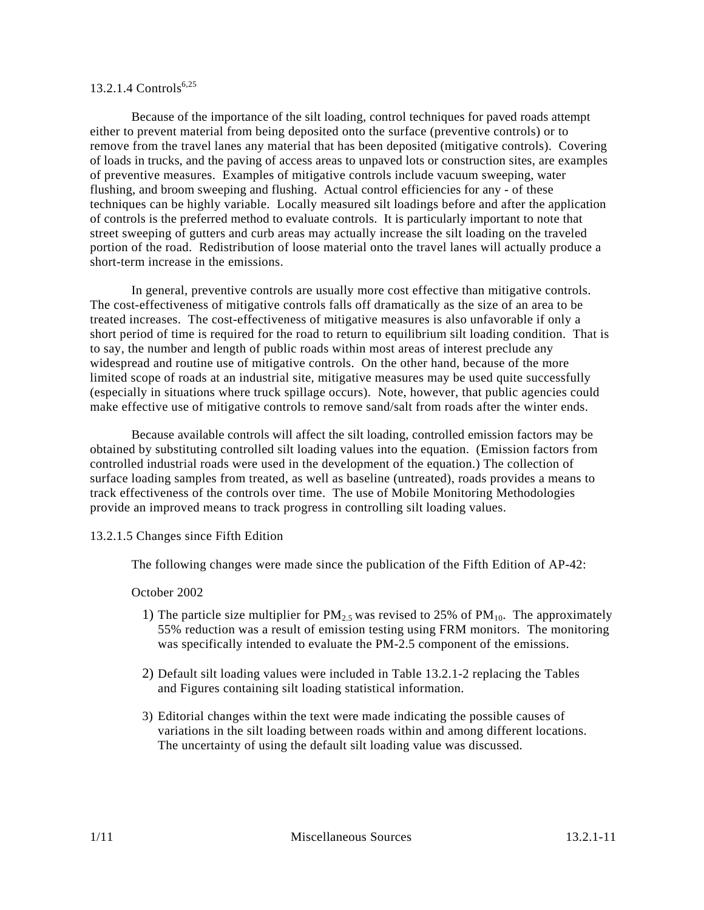# 13.2.1.4  $Contents^{6,25}$

Because of the importance of the silt loading, control techniques for paved roads attempt either to prevent material from being deposited onto the surface (preventive controls) or to remove from the travel lanes any material that has been deposited (mitigative controls). Covering of loads in trucks, and the paving of access areas to unpaved lots or construction sites, are examples of preventive measures. Examples of mitigative controls include vacuum sweeping, water flushing, and broom sweeping and flushing. Actual control efficiencies for any - of these techniques can be highly variable. Locally measured silt loadings before and after the application of controls is the preferred method to evaluate controls. It is particularly important to note that street sweeping of gutters and curb areas may actually increase the silt loading on the traveled portion of the road. Redistribution of loose material onto the travel lanes will actually produce a short-term increase in the emissions.

In general, preventive controls are usually more cost effective than mitigative controls. The cost-effectiveness of mitigative controls falls off dramatically as the size of an area to be treated increases. The cost-effectiveness of mitigative measures is also unfavorable if only a short period of time is required for the road to return to equilibrium silt loading condition. That is to say, the number and length of public roads within most areas of interest preclude any widespread and routine use of mitigative controls. On the other hand, because of the more limited scope of roads at an industrial site, mitigative measures may be used quite successfully (especially in situations where truck spillage occurs). Note, however, that public agencies could make effective use of mitigative controls to remove sand/salt from roads after the winter ends.

Because available controls will affect the silt loading, controlled emission factors may be obtained by substituting controlled silt loading values into the equation. (Emission factors from controlled industrial roads were used in the development of the equation.) The collection of surface loading samples from treated, as well as baseline (untreated), roads provides a means to track effectiveness of the controls over time. The use of Mobile Monitoring Methodologies provide an improved means to track progress in controlling silt loading values.

# 13.2.1.5 Changes since Fifth Edition

The following changes were made since the publication of the Fifth Edition of AP-42:

# October 2002

- 1) The particle size multiplier for  $PM_{2.5}$  was revised to 25% of  $PM_{10}$ . The approximately 55% reduction was a result of emission testing using FRM monitors. The monitoring was specifically intended to evaluate the PM-2.5 component of the emissions.
- 2) Default silt loading values were included in Table 13.2.1-2 replacing the Tables and Figures containing silt loading statistical information.
- 3) Editorial changes within the text were made indicating the possible causes of variations in the silt loading between roads within and among different locations. The uncertainty of using the default silt loading value was discussed.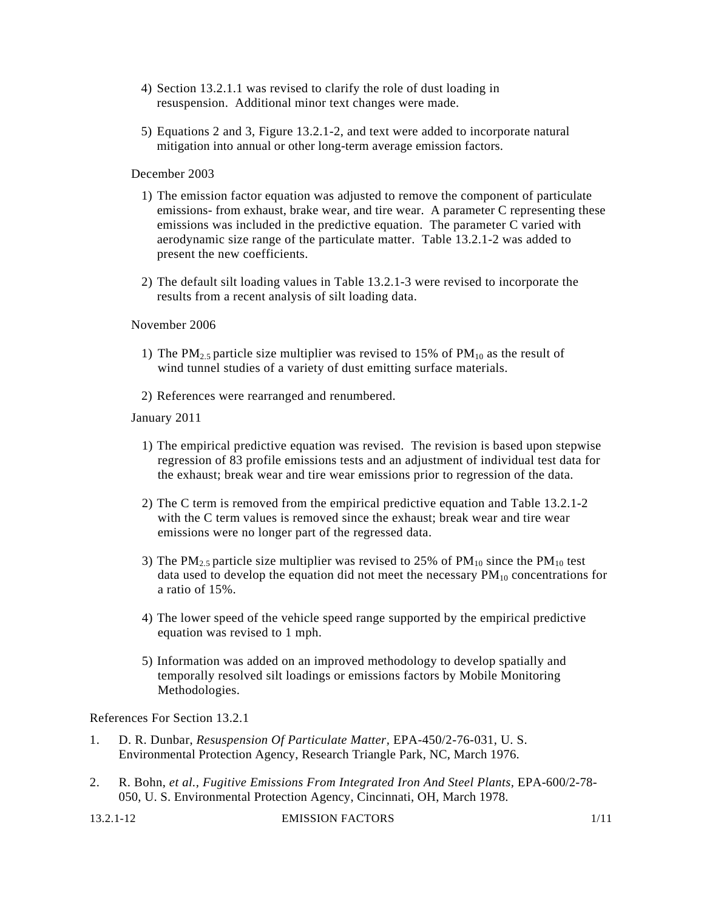- 4) Section 13.2.1.1 was revised to clarify the role of dust loading in resuspension. Additional minor text changes were made.
- 5) Equations 2 and 3, Figure 13.2.1-2, and text were added to incorporate natural mitigation into annual or other long-term average emission factors.

December 2003

- 1) The emission factor equation was adjusted to remove the component of particulate emissions- from exhaust, brake wear, and tire wear. A parameter C representing these emissions was included in the predictive equation. The parameter C varied with aerodynamic size range of the particulate matter. Table 13.2.1-2 was added to present the new coefficients.
- 2) The default silt loading values in Table 13.2.1-3 were revised to incorporate the results from a recent analysis of silt loading data.

November 2006

- 1) The PM<sub>2.5</sub> particle size multiplier was revised to 15% of PM<sub>10</sub> as the result of wind tunnel studies of a variety of dust emitting surface materials.
- 2) References were rearranged and renumbered.

January 2011

- 1) The empirical predictive equation was revised. The revision is based upon stepwise regression of 83 profile emissions tests and an adjustment of individual test data for the exhaust; break wear and tire wear emissions prior to regression of the data.
- 2) The C term is removed from the empirical predictive equation and Table 13.2.1-2 with the C term values is removed since the exhaust; break wear and tire wear emissions were no longer part of the regressed data.
- 3) The PM<sub>2.5</sub> particle size multiplier was revised to 25% of PM<sub>10</sub> since the PM<sub>10</sub> test data used to develop the equation did not meet the necessary  $PM_{10}$  concentrations for a ratio of 15%.
- 4) The lower speed of the vehicle speed range supported by the empirical predictive equation was revised to 1 mph.
- 5) Information was added on an improved methodology to develop spatially and temporally resolved silt loadings or emissions factors by Mobile Monitoring Methodologies.

References For Section 13.2.1

- 1. D. R. Dunbar, *Resuspension Of Particulate Matter,* EPA-450/2-76-031, U. S. Environmental Protection Agency, Research Triangle Park, NC, March 1976.
- 2. R. Bohn, *et al., Fugitive Emissions From Integrated Iron And Steel Plants, EPA-600/2-78-*050, U. S. Environmental Protection Agency, Cincinnati, OH, March 1978.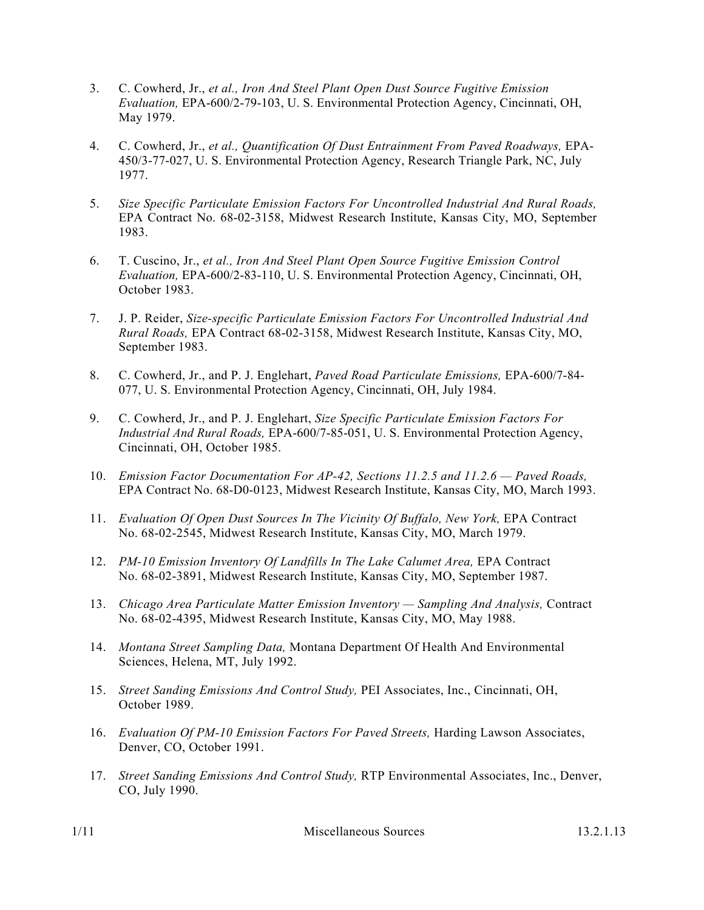- 3. C. Cowherd, Jr., *et al., Iron And Steel Plant Open Dust Source Fugitive Emission Evaluation,* EPA-600/2-79-103, U. S. Environmental Protection Agency, Cincinnati, OH, May 1979.
- 4. C. Cowherd, Jr., *et al., Quantification Of Dust Entrainment From Paved Roadways,* EPA-450/3-77-027, U. S. Environmental Protection Agency, Research Triangle Park, NC, July 1977.
- 5. *Size Specific Particulate Emission Factors For Uncontrolled Industrial And Rural Roads,*  EPA Contract No. 68-02-3158, Midwest Research Institute, Kansas City, MO, September 1983.
- 6. T. Cuscino, Jr., *et al., Iron And Steel Plant Open Source Fugitive Emission Control Evaluation,* EPA-600/2-83-110, U. S. Environmental Protection Agency, Cincinnati, OH, October 1983.
- 7. J. P. Reider, *Size-specific Particulate Emission Factors For Uncontrolled Industrial And Rural Roads,* EPA Contract 68-02-3158, Midwest Research Institute, Kansas City, MO, September 1983.
- 8. C. Cowherd, Jr., and P. J. Englehart, *Paved Road Particulate Emissions,* EPA-600/7-84- 077, U. S. Environmental Protection Agency, Cincinnati, OH, July 1984.
- 9. C. Cowherd, Jr., and P. J. Englehart, *Size Specific Particulate Emission Factors For Industrial And Rural Roads,* EPA-600/7-85-051, U. S. Environmental Protection Agency, Cincinnati, OH, October 1985.
- 10. *Emission Factor Documentation For AP-42, Sections 11.2.5 and 11.2.6 Paved Roads,*  EPA Contract No. 68-D0-0123, Midwest Research Institute, Kansas City, MO, March 1993.
- 11. *Evaluation Of Open Dust Sources In The Vicinity Of Buffalo, New York,* EPA Contract No. 68-02-2545, Midwest Research Institute, Kansas City, MO, March 1979.
- 12. *PM-10 Emission Inventory Of Landfills In The Lake Calumet Area,* EPA Contract No. 68-02-3891, Midwest Research Institute, Kansas City, MO, September 1987.
- 13. *Chicago Area Particulate Matter Emission Inventory Sampling And Analysis,* Contract No. 68-02-4395, Midwest Research Institute, Kansas City, MO, May 1988.
- 14. *Montana Street Sampling Data,* Montana Department Of Health And Environmental Sciences, Helena, MT, July 1992.
- 15. *Street Sanding Emissions And Control Study,* PEI Associates, Inc., Cincinnati, OH, October 1989.
- 16. *Evaluation Of PM-10 Emission Factors For Paved Streets, Harding Lawson Associates,* Denver, CO, October 1991.
- 17. *Street Sanding Emissions And Control Study,* RTP Environmental Associates, Inc., Denver, CO, July 1990.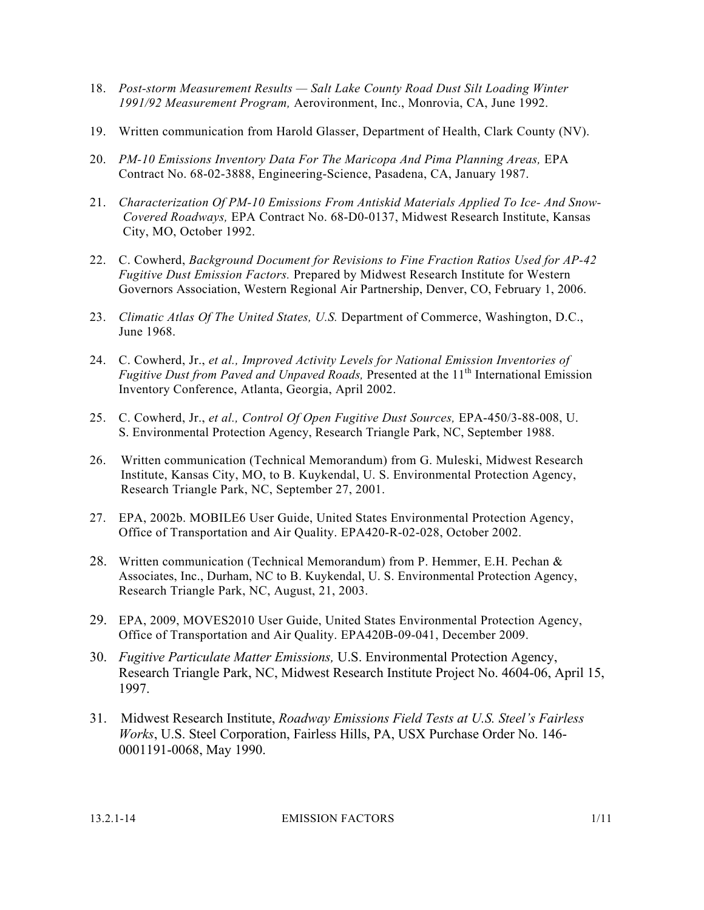- 18. *Post-storm Measurement Results Salt Lake County Road Dust Silt Loading Winter 1991/92 Measurement Program,* Aerovironment, Inc., Monrovia, CA, June 1992.
- 19. Written communication from Harold Glasser, Department of Health, Clark County (NV).
- 20. *PM-10 Emissions Inventory Data For The Maricopa And Pima Planning Areas,* EPA Contract No. 68-02-3888, Engineering-Science, Pasadena, CA, January 1987.
- 21. *Characterization Of PM-10 Emissions From Antiskid Materials Applied To Ice- And Snow-Covered Roadways,* EPA Contract No. 68-D0-0137, Midwest Research Institute, Kansas City, MO, October 1992.
- 22. C. Cowherd, *Background Document for Revisions to Fine Fraction Ratios Used for AP-42 Fugitive Dust Emission Factors.* Prepared by Midwest Research Institute for Western Governors Association, Western Regional Air Partnership, Denver, CO, February 1, 2006.
- 23. *Climatic Atlas Of The United States, U.S.* Department of Commerce, Washington, D.C., June 1968.
- 24. C. Cowherd, Jr., *et al., Improved Activity Levels for National Emission Inventories of Fugitive Dust from Paved and Unpaved Roads, Presented at the 11<sup>th</sup> International Emission* Inventory Conference, Atlanta, Georgia, April 2002.
- 25. C. Cowherd, Jr., *et al., Control Of Open Fugitive Dust Sources,* EPA-450/3-88-008, U. S. Environmental Protection Agency, Research Triangle Park, NC, September 1988.
- 26. Written communication (Technical Memorandum) from G. Muleski, Midwest Research Institute, Kansas City, MO, to B. Kuykendal, U. S. Environmental Protection Agency, Research Triangle Park, NC, September 27, 2001.
- 27. EPA, 2002b. MOBILE6 User Guide, United States Environmental Protection Agency, Office of Transportation and Air Quality. EPA420-R-02-028, October 2002.
- 28. Written communication (Technical Memorandum) from P. Hemmer, E.H. Pechan & Associates, Inc., Durham, NC to B. Kuykendal, U. S. Environmental Protection Agency, Research Triangle Park, NC, August, 21, 2003.
- 29. EPA, 2009, MOVES2010 User Guide, United States Environmental Protection Agency, Office of Transportation and Air Quality. EPA420B-09-041, December 2009.
- 30. *Fugitive Particulate Matter Emissions,* U.S. Environmental Protection Agency, Research Triangle Park, NC, Midwest Research Institute Project No. 4604-06, April 15, 1997.
- 31. Midwest Research Institute, *Roadway Emissions Field Tests at U.S. Steel's Fairless Works*, U.S. Steel Corporation, Fairless Hills, PA, USX Purchase Order No. 146- 0001191-0068, May 1990.